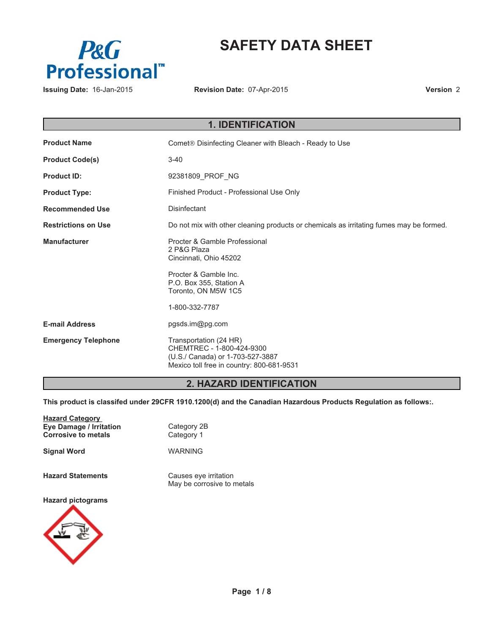

# **SAFETY DATA SHEET**

**Revision Date:** 07-Apr-2015

**Version** 2

| <b>1. IDENTIFICATION</b>   |                                                                                                                                      |  |  |  |
|----------------------------|--------------------------------------------------------------------------------------------------------------------------------------|--|--|--|
| <b>Product Name</b>        | Comet <sup>®</sup> Disinfecting Cleaner with Bleach - Ready to Use                                                                   |  |  |  |
| <b>Product Code(s)</b>     | $3 - 40$                                                                                                                             |  |  |  |
| <b>Product ID:</b>         | 92381809_PROF_NG                                                                                                                     |  |  |  |
| <b>Product Type:</b>       | Finished Product - Professional Use Only                                                                                             |  |  |  |
| <b>Recommended Use</b>     | Disinfectant                                                                                                                         |  |  |  |
| <b>Restrictions on Use</b> | Do not mix with other cleaning products or chemicals as irritating fumes may be formed.                                              |  |  |  |
| <b>Manufacturer</b>        | Procter & Gamble Professional<br>2 P&G Plaza<br>Cincinnati, Ohio 45202                                                               |  |  |  |
|                            | Procter & Gamble Inc.<br>P.O. Box 355, Station A<br>Toronto, ON M5W 1C5                                                              |  |  |  |
|                            | 1-800-332-7787                                                                                                                       |  |  |  |
| <b>E-mail Address</b>      | pgsds.im@pg.com                                                                                                                      |  |  |  |
| <b>Emergency Telephone</b> | Transportation (24 HR)<br>CHEMTREC - 1-800-424-9300<br>(U.S./ Canada) or 1-703-527-3887<br>Mexico toll free in country: 800-681-9531 |  |  |  |

# **2. HAZARD IDENTIFICATION**

**This product is classifed under 29CFR 1910.1200(d) and the Canadian Hazardous Products Regulation as follows:.**

| <b>Hazard Category</b><br><b>Eye Damage / Irritation</b><br><b>Corrosive to metals</b> | Category 2B<br>Category 1                           |
|----------------------------------------------------------------------------------------|-----------------------------------------------------|
| <b>Signal Word</b>                                                                     | WARNING                                             |
| <b>Hazard Statements</b>                                                               | Causes eye irritation<br>May be corrosive to metals |
| <b>Hazard pictograms</b>                                                               |                                                     |

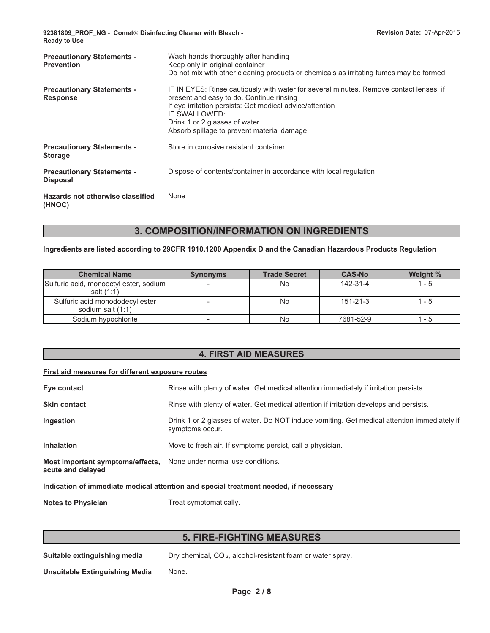| <b>Precautionary Statements -</b><br><b>Prevention</b> | Wash hands thoroughly after handling<br>Keep only in original container<br>Do not mix with other cleaning products or chemicals as irritating fumes may be formed                                                                                                                              |
|--------------------------------------------------------|------------------------------------------------------------------------------------------------------------------------------------------------------------------------------------------------------------------------------------------------------------------------------------------------|
| <b>Precautionary Statements -</b><br><b>Response</b>   | IF IN EYES: Rinse cautiously with water for several minutes. Remove contact lenses, if<br>present and easy to do. Continue rinsing<br>If eye irritation persists: Get medical advice/attention<br>IF SWALLOWED:<br>Drink 1 or 2 glasses of water<br>Absorb spillage to prevent material damage |
| <b>Precautionary Statements -</b><br><b>Storage</b>    | Store in corrosive resistant container                                                                                                                                                                                                                                                         |
| <b>Precautionary Statements -</b><br><b>Disposal</b>   | Dispose of contents/container in accordance with local regulation                                                                                                                                                                                                                              |
| Hazards not otherwise classified<br>(HNOC)             | None                                                                                                                                                                                                                                                                                           |

# **3. COMPOSITION/INFORMATION ON INGREDIENTS**

# **Ingredients are listed according to 29CFR 1910.1200 Appendix D and the Canadian Hazardous Products Regulation**

| <b>Chemical Name</b>                                 | <b>Synonyms</b> | <b>Trade Secret</b> | <b>CAS-No</b>  | Weight % |
|------------------------------------------------------|-----------------|---------------------|----------------|----------|
| Sulfuric acid, monooctyl ester, sodium<br>salt (1:1) |                 | No                  | 142-31-4       | $1 - 5$  |
| Sulfuric acid monododecyl ester<br>sodium salt (1:1) |                 | No                  | $151 - 21 - 3$ | $1 - 5$  |
| Sodium hypochlorite                                  |                 | No                  | 7681-52-9      | 1 - 5    |

# **4. FIRST AID MEASURES**

### **First aid measures for different exposure routes**

| Eye contact                                                                             | Rinse with plenty of water. Get medical attention immediately if irritation persists.                          |  |  |
|-----------------------------------------------------------------------------------------|----------------------------------------------------------------------------------------------------------------|--|--|
| <b>Skin contact</b>                                                                     | Rinse with plenty of water. Get medical attention if irritation develops and persists.                         |  |  |
| Ingestion                                                                               | Drink 1 or 2 glasses of water. Do NOT induce vomiting. Get medical attention immediately if<br>symptoms occur. |  |  |
| <b>Inhalation</b>                                                                       | Move to fresh air. If symptoms persist, call a physician.                                                      |  |  |
| Most important symptoms/effects, None under normal use conditions.<br>acute and delayed |                                                                                                                |  |  |

**Indication of immediate medical attention and special treatment needed, if necessary**

**Notes to Physician** Treat symptomatically.

# **5. FIRE-FIGHTING MEASURES**

**Suitable extinguishing media** Dry chemical, CO<sub>2</sub>, alcohol-resistant foam or water spray.

**Unsuitable Extinguishing Media** None.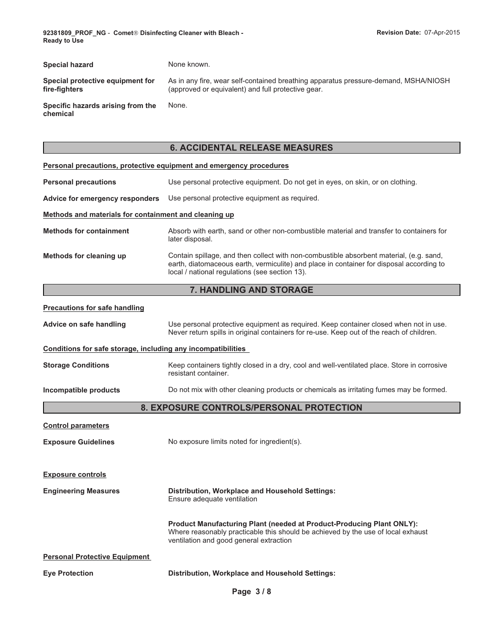| <b>Special hazard</b>                             | None known.                                                                                                                               |
|---------------------------------------------------|-------------------------------------------------------------------------------------------------------------------------------------------|
| Special protective equipment for<br>fire-fiahters | As in any fire, wear self-contained breathing apparatus pressure-demand, MSHA/NIOSH<br>(approved or equivalent) and full protective gear. |
| Specific hazards arising from the<br>chemical     | None.                                                                                                                                     |

# **6. ACCIDENTAL RELEASE MEASURES**

| Personal precautions, protective equipment and emergency procedures |                                                                                                                                                                                                                                       |  |  |  |
|---------------------------------------------------------------------|---------------------------------------------------------------------------------------------------------------------------------------------------------------------------------------------------------------------------------------|--|--|--|
| <b>Personal precautions</b>                                         | Use personal protective equipment. Do not get in eyes, on skin, or on clothing.                                                                                                                                                       |  |  |  |
| Advice for emergency responders                                     | Use personal protective equipment as required.                                                                                                                                                                                        |  |  |  |
| Methods and materials for containment and cleaning up               |                                                                                                                                                                                                                                       |  |  |  |
| <b>Methods for containment</b>                                      | Absorb with earth, sand or other non-combustible material and transfer to containers for<br>later disposal.                                                                                                                           |  |  |  |
| Methods for cleaning up                                             | Contain spillage, and then collect with non-combustible absorbent material, (e.g. sand,<br>earth, diatomaceous earth, vermiculite) and place in container for disposal according to<br>local / national regulations (see section 13). |  |  |  |
|                                                                     | 7. HANDLING AND STORAGE                                                                                                                                                                                                               |  |  |  |
| <b>Precautions for safe handling</b>                                |                                                                                                                                                                                                                                       |  |  |  |
| Advice on safe handling                                             | Use personal protective equipment as required. Keep container closed when not in use.<br>Never return spills in original containers for re-use. Keep out of the reach of children.                                                    |  |  |  |
|                                                                     | Conditions for safe storage, including any incompatibilities                                                                                                                                                                          |  |  |  |
| <b>Storage Conditions</b>                                           | Keep containers tightly closed in a dry, cool and well-ventilated place. Store in corrosive<br>resistant container.                                                                                                                   |  |  |  |
| Incompatible products                                               | Do not mix with other cleaning products or chemicals as irritating fumes may be formed.                                                                                                                                               |  |  |  |
|                                                                     | 8. EXPOSURE CONTROLS/PERSONAL PROTECTION                                                                                                                                                                                              |  |  |  |
| <b>Control parameters</b>                                           |                                                                                                                                                                                                                                       |  |  |  |
| <b>Exposure Guidelines</b>                                          | No exposure limits noted for ingredient(s).                                                                                                                                                                                           |  |  |  |
| <b>Exposure controls</b>                                            |                                                                                                                                                                                                                                       |  |  |  |
| <b>Engineering Measures</b>                                         | Distribution, Workplace and Household Settings:<br>Ensure adequate ventilation                                                                                                                                                        |  |  |  |
|                                                                     | Product Manufacturing Plant (needed at Product-Producing Plant ONLY):<br>Where reasonably practicable this should be achieved by the use of local exhaust<br>ventilation and good general extraction                                  |  |  |  |
| <b>Personal Protective Equipment</b>                                |                                                                                                                                                                                                                                       |  |  |  |
| <b>Eye Protection</b>                                               | <b>Distribution, Workplace and Household Settings:</b>                                                                                                                                                                                |  |  |  |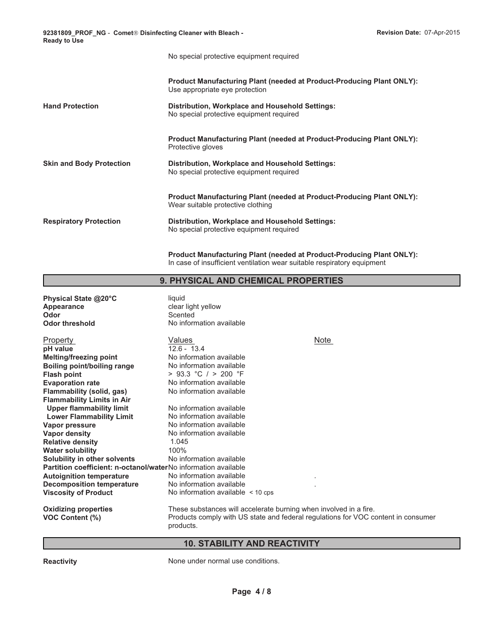No special protective equipment required

|                               | <b>Product Manufacturing Plant (needed at Product-Producing Plant ONLY):</b><br>Use appropriate eye protection    |
|-------------------------------|-------------------------------------------------------------------------------------------------------------------|
| <b>Hand Protection</b>        | Distribution, Workplace and Household Settings:<br>No special protective equipment required                       |
|                               | <b>Product Manufacturing Plant (needed at Product-Producing Plant ONLY):</b><br>Protective gloves                 |
| Skin and Body Protection      | Distribution, Workplace and Household Settings:<br>No special protective equipment required                       |
|                               | <b>Product Manufacturing Plant (needed at Product-Producing Plant ONLY):</b><br>Wear suitable protective clothing |
| <b>Respiratory Protection</b> | Distribution, Workplace and Household Settings:<br>No special protective equipment required                       |
|                               |                                                                                                                   |

**Product Manufacturing Plant (needed at Product-Producing Plant ONLY):** In case of insufficient ventilation wear suitable respiratory equipment

### **9. PHYSICAL AND CHEMICAL PROPERTIES**

**Physical State @20°C** liquid **Appearance** clear light yellow **Odor** Scented **Odor threshold** No information available **Oxidizing properties** These substances will accelerate burning when involved in a fire. **VOC Content (%)** Products comply with US state and federal regulations for VOC content in consumer products. **Lower Flammability Limit** No information available<br> **Vapor pressure** No information available Values **Vapor pressure** No information available **Boiling point/boiling range Vapor density** No information available No information available **Relative density** 1.045 Note **Water solubility Flash point** 100% **Solubility in other solvents**  $> 93.3$  °C  $/ > 200$  °F No information available **Partition coefficient: n-octanol/water**No information available **pH value Autoignition temperature Evaporation rate** No information available . **Decomposition temperature** No information available No information available . No information available < 10 cps  $12.6 - 13.4$ **Flammability (solid, gas) Property** No information available **Flammability Limits in Air Melting/freezing point Upper flammability limit** No information available No information available

# **10. STABILITY AND REACTIVITY**

**Reactivity Reactivity None under normal use conditions.**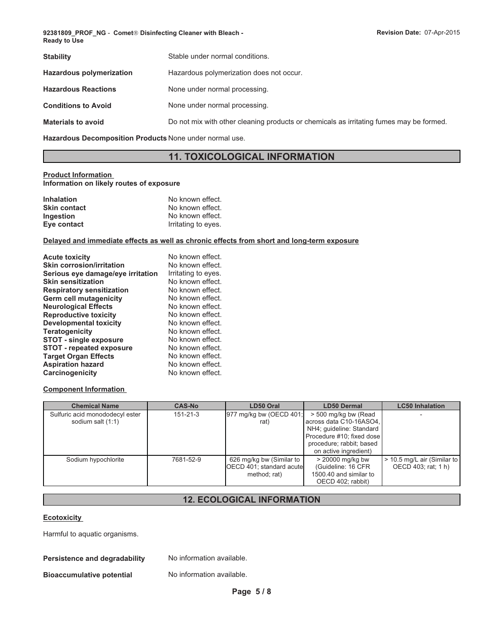| Stable under normal conditions.                                                         |  |  |  |
|-----------------------------------------------------------------------------------------|--|--|--|
| Hazardous polymerization does not occur.                                                |  |  |  |
| None under normal processing.                                                           |  |  |  |
| None under normal processing.                                                           |  |  |  |
| Do not mix with other cleaning products or chemicals as irritating fumes may be formed. |  |  |  |
|                                                                                         |  |  |  |

**Hazardous Decomposition Products** None under normal use.

# **11. TOXICOLOGICAL INFORMATION**

### **Product Information**

**Information on likely routes of exposure**

| <b>Inhalation</b>   | No known effect.    |
|---------------------|---------------------|
| <b>Skin contact</b> | No known effect.    |
| Ingestion           | No known effect.    |
| Eye contact         | Irritating to eyes. |

#### **Delayed and immediate effects as well as chronic effects from short and long-term exposure**

| <b>Acute toxicity</b>             | No known effect.    |
|-----------------------------------|---------------------|
| <b>Skin corrosion/irritation</b>  | No known effect.    |
| Serious eye damage/eye irritation | Irritating to eyes. |
| <b>Skin sensitization</b>         | No known effect.    |
| <b>Respiratory sensitization</b>  | No known effect.    |
| Germ cell mutagenicity            | No known effect.    |
| <b>Neurological Effects</b>       | No known effect.    |
| <b>Reproductive toxicity</b>      | No known effect.    |
| Developmental toxicity            | No known effect.    |
| <b>Teratogenicity</b>             | No known effect.    |
| <b>STOT - single exposure</b>     | No known effect.    |
| <b>STOT - repeated exposure</b>   | No known effect.    |
| <b>Target Organ Effects</b>       | No known effect.    |
| <b>Aspiration hazard</b>          | No known effect.    |
| <b>Carcinogenicity</b>            | No known effect.    |

### **Component Information**

| <b>Chemical Name</b>                                 | <b>CAS-No</b>  | LD50 Oral                                                            | <b>LD50 Dermal</b>                                                                                                                                            | <b>LC50 Inhalation</b>                             |
|------------------------------------------------------|----------------|----------------------------------------------------------------------|---------------------------------------------------------------------------------------------------------------------------------------------------------------|----------------------------------------------------|
| Sulfuric acid monododecyl ester<br>sodium salt (1:1) | $151 - 21 - 3$ | 977 mg/kg bw (OECD 401;<br>rat)                                      | > 500 mg/kg bw (Read<br>across data C10-16ASO4,<br>NH4; quideline: Standard<br>Procedure #10; fixed dose<br>procedure; rabbit; based<br>on active ingredient) |                                                    |
| Sodium hypochlorite                                  | 7681-52-9      | 626 mg/kg bw (Similar to<br>OECD 401; standard acute<br>method; rat) | $>$ 20000 mg/kg bw<br>(Guideline: 16 CFR<br>1500.40 and similar to<br>OECD 402; rabbit)                                                                       | > 10.5 mg/L air (Similar to<br>OECD 403: rat: 1 h) |

# **12. ECOLOGICAL INFORMATION**

#### **Ecotoxicity**

Harmful to aquatic organisms.

### **Persistence and degradability** No information available.

**Bioaccumulative potential** No information available.

**Page 5 / 8**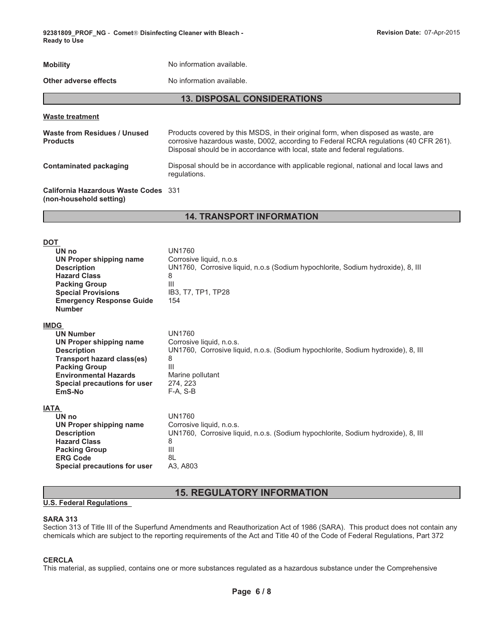**92381809\_PROF\_NG** - **Comet- Disinfecting Cleaner with Bleach - Revision Date:** 07-Apr-2015 **Ready to Use**

| <b>Mobility</b>                                                 | No information available.                                                                                                                                                                                                                                 |  |  |
|-----------------------------------------------------------------|-----------------------------------------------------------------------------------------------------------------------------------------------------------------------------------------------------------------------------------------------------------|--|--|
| Other adverse effects                                           | No information available.                                                                                                                                                                                                                                 |  |  |
| <b>13. DISPOSAL CONSIDERATIONS</b>                              |                                                                                                                                                                                                                                                           |  |  |
| <b>Waste treatment</b>                                          |                                                                                                                                                                                                                                                           |  |  |
| Waste from Residues / Unused<br><b>Products</b>                 | Products covered by this MSDS, in their original form, when disposed as waste, are<br>corrosive hazardous waste, D002, according to Federal RCRA regulations (40 CFR 261).<br>Disposal should be in accordance with local, state and federal requiations. |  |  |
| <b>Contaminated packaging</b>                                   | Disposal should be in accordance with applicable regional, national and local laws and<br>regulations.                                                                                                                                                    |  |  |
| California Hazardous Waste Codes 331<br>(non-household setting) |                                                                                                                                                                                                                                                           |  |  |

# **14. TRANSPORT INFORMATION**

| <b>DOT</b><br>UN no<br>UN Proper shipping name<br><b>Description</b><br><b>Hazard Class</b><br><b>Packing Group</b><br><b>Special Provisions</b><br><b>Emergency Response Guide</b><br><b>Number</b>             | <b>UN1760</b><br>Corrosive liquid, n.o.s<br>UN1760, Corrosive liquid, n.o.s (Sodium hypochlorite, Sodium hydroxide), 8, III<br>8<br>Ш<br>IB3, T7, TP1, TP28<br>154                    |
|------------------------------------------------------------------------------------------------------------------------------------------------------------------------------------------------------------------|---------------------------------------------------------------------------------------------------------------------------------------------------------------------------------------|
| <b>IMDG</b><br><b>UN Number</b><br>UN Proper shipping name<br><b>Description</b><br>Transport hazard class(es)<br><b>Packing Group</b><br><b>Environmental Hazards</b><br>Special precautions for user<br>EmS-No | <b>UN1760</b><br>Corrosive liquid, n.o.s.<br>UN1760, Corrosive liquid, n.o.s. (Sodium hypochlorite, Sodium hydroxide), 8, Ill<br>8<br>Ш<br>Marine pollutant<br>274, 223<br>$F-A, S-B$ |
| <b>IATA</b><br>UN no<br>UN Proper shipping name<br><b>Description</b><br><b>Hazard Class</b><br><b>Packing Group</b><br><b>ERG Code</b><br>Special precautions for user                                          | <b>UN1760</b><br>Corrosive liquid, n.o.s.<br>UN1760, Corrosive liquid, n.o.s. (Sodium hypochlorite, Sodium hydroxide), 8, Ill<br>8<br>$\mathbf{III}$<br>8L<br>A3, A803                |

# **15. REGULATORY INFORMATION**

# **U.S. Federal Regulations**

### **SARA 313**

Section 313 of Title III of the Superfund Amendments and Reauthorization Act of 1986 (SARA). This product does not contain any chemicals which are subject to the reporting requirements of the Act and Title 40 of the Code of Federal Regulations, Part 372

# **CERCLA**

This material, as supplied, contains one or more substances regulated as a hazardous substance under the Comprehensive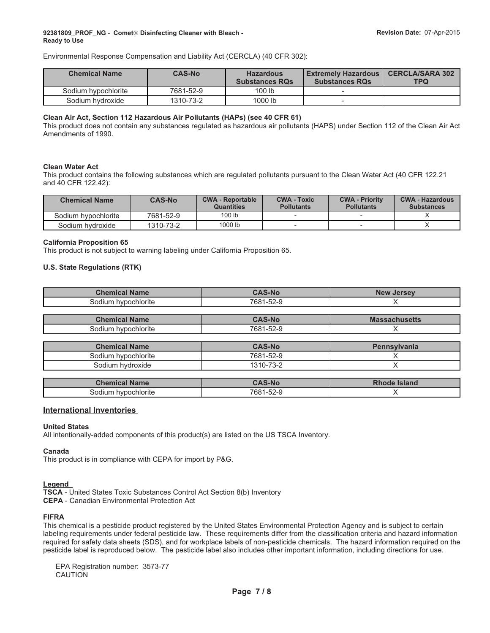Environmental Response Compensation and Liability Act (CERCLA) (40 CFR 302):

| <b>Chemical Name</b> | <b>CAS-No</b> | <b>Hazardous</b><br><b>Substances RQs</b> | <b>LExtremely Hazardous L</b><br><b>Substances RQs</b> | <b>CERCLA/SARA 302</b><br>TPQ |
|----------------------|---------------|-------------------------------------------|--------------------------------------------------------|-------------------------------|
| Sodium hypochlorite  | 7681-52-9     | 100 lb                                    |                                                        |                               |
| Sodium hydroxide     | 1310-73-2     | 1000 lb                                   |                                                        |                               |

#### **Clean Air Act, Section 112 Hazardous Air Pollutants (HAPs) (see 40 CFR 61)**

This product does not contain any substances regulated as hazardous air pollutants (HAPS) under Section 112 of the Clean Air Act Amendments of 1990.

#### **Clean Water Act**

This product contains the following substances which are regulated pollutants pursuant to the Clean Water Act (40 CFR 122.21 and 40 CFR 122.42):

| <b>Chemical Name</b> | <b>CAS-No</b> | <b>CWA - Reportable</b><br><b>Quantities</b> | <b>CWA - Toxic</b><br><b>Pollutants</b> | <b>CWA - Priority</b><br><b>Pollutants</b> | <b>CWA - Hazardous</b><br><b>Substances</b> |
|----------------------|---------------|----------------------------------------------|-----------------------------------------|--------------------------------------------|---------------------------------------------|
| Sodium hypochlorite  | 7681-52-9     | 100 lb                                       |                                         |                                            |                                             |
| Sodium hydroxide     | 1310-73-2     | 1000 lb                                      |                                         |                                            |                                             |

#### **California Proposition 65**

This product is not subject to warning labeling under California Proposition 65.

#### **U.S. State Regulations (RTK)**

| <b>Chemical Name</b>   | $JAS-NO$                               | <b>New Jersey</b> |
|------------------------|----------------------------------------|-------------------|
| hypochlorite<br>30dium | $\Gamma \cap \Gamma$<br>7681<br>1-52-1 |                   |

| :hemical<br><b>Name</b>     | AC                                                                           | vias.<br>ssacnusetts |
|-----------------------------|------------------------------------------------------------------------------|----------------------|
| hypochlorite<br>sodium<br>. | 7001<br>$\sim$<br>OO.<br>$\sim$ $\sim$<br>$\sim$ $\sim$ $\sim$ $\sim$ $\sim$ |                      |

| <b>Chemical Name</b> | $CAS-No$  | <b>Pennsylvania</b> |
|----------------------|-----------|---------------------|
| Sodium hvpochlorite  | 7681-52-9 |                     |
| Sodium hydroxide     | 1310-73-2 |                     |

| <b>Name</b><br>:hemical         |    | sland |
|---------------------------------|----|-------|
| `hlorite<br>nu.<br>, najir<br>. | nč |       |

### **International Inventories**

### **United States**

All intentionally-added components of this product(s) are listed on the US TSCA Inventory.

#### **Canada**

This product is in compliance with CEPA for import by P&G.

### **Legend**

**TSCA** - United States Toxic Substances Control Act Section 8(b) Inventory **CEPA** - Canadian Environmental Protection Act

### **FIFRA**

This chemical is a pesticide product registered by the United States Environmental Protection Agency and is subject to certain labeling requirements under federal pesticide law. These requirements differ from the classification criteria and hazard information required for safety data sheets (SDS), and for workplace labels of non-pesticide chemicals. The hazard information required on the pesticide label is reproduced below. The pesticide label also includes other important information, including directions for use.

EPA Registration number: 3573-77 CAUTION